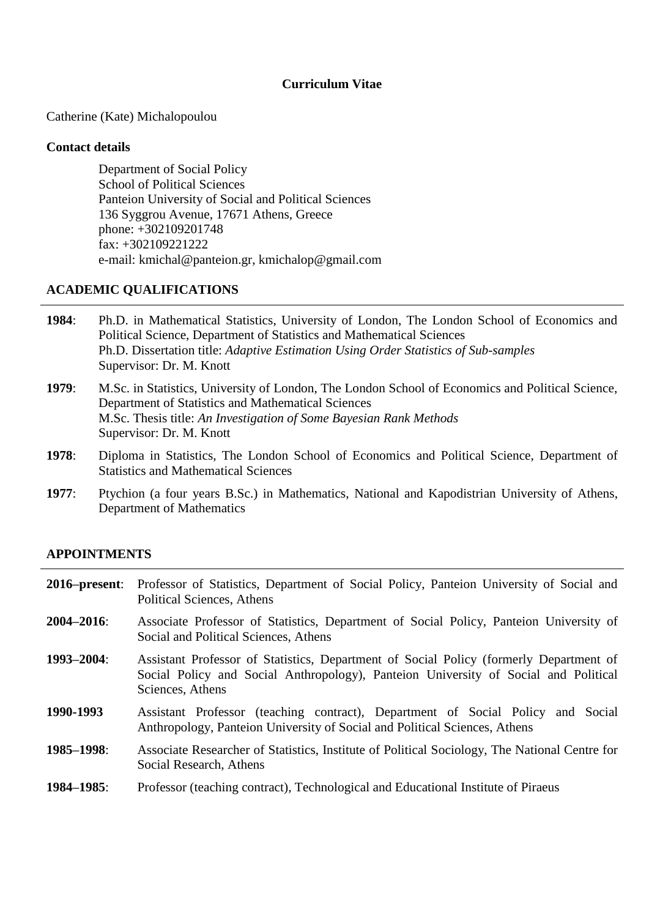## **Curriculum Vitae**

Catherine (Kate) Michalopoulou

#### **Contact details**

Department of Social Policy School of Political Sciences Panteion University of Social and Political Sciences 136 Syggrou Avenue, 17671 Athens, Greece phone: +302109201748 fax: +302109221222 e-mail: kmichal@panteion.gr, kmichalop@gmail.com

### **ACADEMIC QUALIFICATIONS**

- **1984**: Ph.D. in Mathematical Statistics, University of London, The London School of Economics and Political Science, Department of Statistics and Mathematical Sciences Ph.D. Dissertation title: *Adaptive Estimation Using Order Statistics of Sub-samples* Supervisor: Dr. M. Knott
- **1979**: M.Sc. in Statistics, University of London, The London School of Economics and Political Science, Department of Statistics and Mathematical Sciences M.Sc. Thesis title: *An Investigation of Some Bayesian Rank Methods* Supervisor: Dr. M. Knott
- **1978**: Diploma in Statistics, The London School of Economics and Political Science, Department of Statistics and Mathematical Sciences
- **1977**: Ptychion (a four years B.Sc.) in Mathematics, National and Kapodistrian University of Athens, Department of Mathematics

## **APPOINTMENTS**

|                 | 2016–present: Professor of Statistics, Department of Social Policy, Panteion University of Social and<br>Political Sciences, Athens                                                               |
|-----------------|---------------------------------------------------------------------------------------------------------------------------------------------------------------------------------------------------|
| $2004 - 2016$ : | Associate Professor of Statistics, Department of Social Policy, Panteion University of<br>Social and Political Sciences, Athens                                                                   |
| 1993-2004:      | Assistant Professor of Statistics, Department of Social Policy (formerly Department of<br>Social Policy and Social Anthropology), Panteion University of Social and Political<br>Sciences, Athens |
| 1990-1993       | Assistant Professor (teaching contract), Department of Social Policy and Social<br>Anthropology, Panteion University of Social and Political Sciences, Athens                                     |
| 1985-1998:      | Associate Researcher of Statistics, Institute of Political Sociology, The National Centre for<br>Social Research, Athens                                                                          |
| 1984–1985:      | Professor (teaching contract), Technological and Educational Institute of Piraeus                                                                                                                 |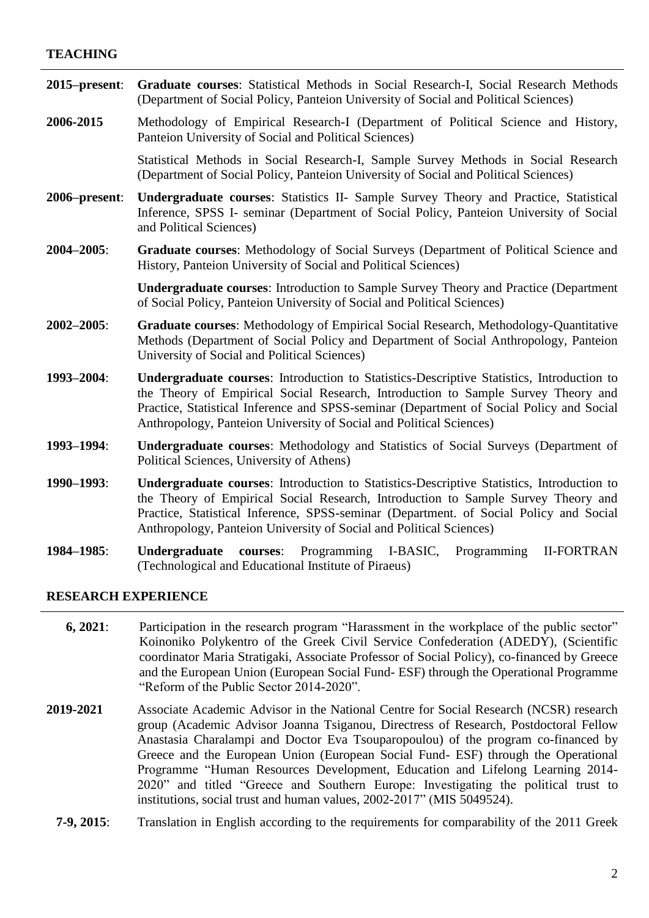### **TEACHING**

| $2015$ -present: | Graduate courses: Statistical Methods in Social Research-I, Social Research Methods<br>(Department of Social Policy, Panteion University of Social and Political Sciences)                                                                                                                                                                        |
|------------------|---------------------------------------------------------------------------------------------------------------------------------------------------------------------------------------------------------------------------------------------------------------------------------------------------------------------------------------------------|
| 2006-2015        | Methodology of Empirical Research-I (Department of Political Science and History,<br>Panteion University of Social and Political Sciences)                                                                                                                                                                                                        |
|                  | Statistical Methods in Social Research-I, Sample Survey Methods in Social Research<br>(Department of Social Policy, Panteion University of Social and Political Sciences)                                                                                                                                                                         |
| 2006–present:    | Undergraduate courses: Statistics II- Sample Survey Theory and Practice, Statistical<br>Inference, SPSS I- seminar (Department of Social Policy, Panteion University of Social<br>and Political Sciences)                                                                                                                                         |
| $2004 - 2005$ :  | Graduate courses: Methodology of Social Surveys (Department of Political Science and<br>History, Panteion University of Social and Political Sciences)                                                                                                                                                                                            |
|                  | <b>Undergraduate courses:</b> Introduction to Sample Survey Theory and Practice (Department<br>of Social Policy, Panteion University of Social and Political Sciences)                                                                                                                                                                            |
| $2002 - 2005$ :  | Graduate courses: Methodology of Empirical Social Research, Methodology-Quantitative<br>Methods (Department of Social Policy and Department of Social Anthropology, Panteion<br>University of Social and Political Sciences)                                                                                                                      |
| 1993-2004:       | Undergraduate courses: Introduction to Statistics-Descriptive Statistics, Introduction to<br>the Theory of Empirical Social Research, Introduction to Sample Survey Theory and<br>Practice, Statistical Inference and SPSS-seminar (Department of Social Policy and Social<br>Anthropology, Panteion University of Social and Political Sciences) |
| 1993-1994:       | Undergraduate courses: Methodology and Statistics of Social Surveys (Department of<br>Political Sciences, University of Athens)                                                                                                                                                                                                                   |
| 1990-1993:       | Undergraduate courses: Introduction to Statistics-Descriptive Statistics, Introduction to<br>the Theory of Empirical Social Research, Introduction to Sample Survey Theory and<br>Practice, Statistical Inference, SPSS-seminar (Department. of Social Policy and Social<br>Anthropology, Panteion University of Social and Political Sciences)   |
| 1984-1985:       | Programming I-BASIC,<br>Programming<br><b>II-FORTRAN</b><br>Undergraduate<br>courses:<br>(Technological and Educational Institute of Piraeus)                                                                                                                                                                                                     |

#### **RESEARCH EXPERIENCE**

- **6, 2021**: Participation in the research program "Harassment in the workplace of the public sector" Koinoniko Polykentro of the Greek Civil Service Confederation (ADEDY), (Scientific coordinator Maria Stratigaki, Associate Professor of Social Policy), co-financed by Greece and the European Union (European Social Fund- ESF) through the Operational Programme "Reform of the Public Sector 2014-2020".
- **2019-2021** Associate Academic Advisor in the National Centre for Social Research (NCSR) research group (Academic Advisor Joanna Tsiganou, Directress of Research, Postdoctoral Fellow Anastasia Charalampi and Doctor Eva Tsouparopoulou) of the program co-financed by Greece and the European Union (European Social Fund- ESF) through the Operational Programme "Human Resources Development, Education and Lifelong Learning 2014- 2020" and titled "Greece and Southern Europe: Investigating the political trust to institutions, social trust and human values, 2002-2017" (MIS 5049524).
	- **7-9, 2015**: Translation in English according to the requirements for comparability of the 2011 Greek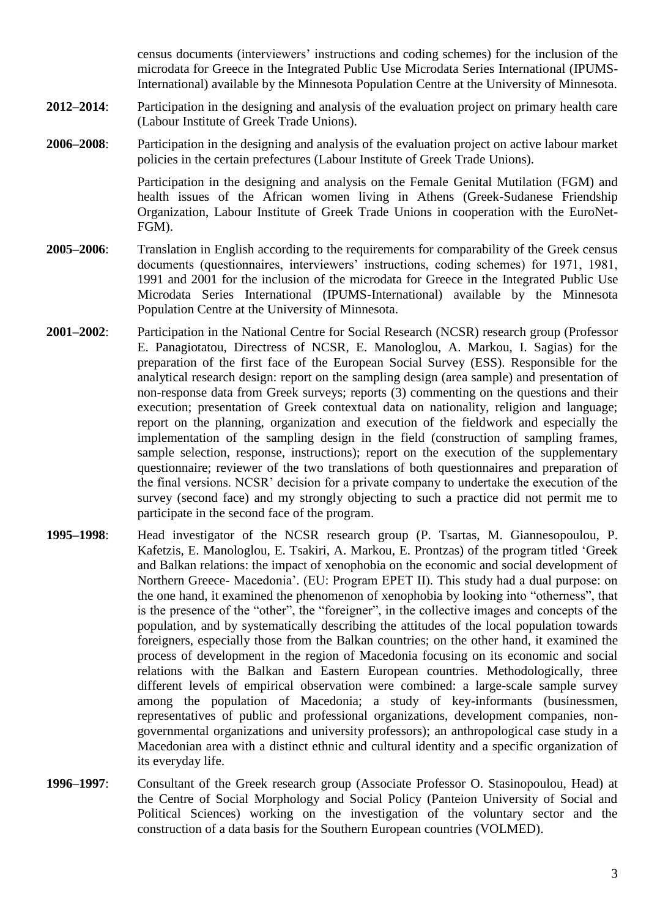census documents (interviewers" instructions and coding schemes) for the inclusion of the microdata for Greece in the Integrated Public Use Microdata Series International (IPUMS-International) available by the Minnesota Population Centre at the University of Minnesota.

- **2012–2014**: Participation in the designing and analysis of the evaluation project on primary health care (Labour Institute of Greek Trade Unions).
- **2006–2008**: Participation in the designing and analysis of the evaluation project on active labour market policies in the certain prefectures (Labour Institute of Greek Trade Unions).

Participation in the designing and analysis on the Female Genital Mutilation (FGM) and health issues of the African women living in Athens (Greek-Sudanese Friendship Organization, Labour Institute of Greek Trade Unions in cooperation with the EuroNet-FGM).

- **2005–2006**: Translation in English according to the requirements for comparability of the Greek census documents (questionnaires, interviewers' instructions, coding schemes) for 1971, 1981, 1991 and 2001 for the inclusion of the microdata for Greece in the Integrated Public Use Microdata Series International (IPUMS-International) available by the Minnesota Population Centre at the University of Minnesota.
- **2001–2002**: Participation in the National Centre for Social Research (NCSR) research group (Professor E. Panagiotatou, Directress of NCSR, E. Manologlou, A. Markou, I. Sagias) for the preparation of the first face of the European Social Survey (ESS). Responsible for the analytical research design: report on the sampling design (area sample) and presentation of non-response data from Greek surveys; reports (3) commenting on the questions and their execution; presentation of Greek contextual data on nationality, religion and language; report on the planning, organization and execution of the fieldwork and especially the implementation of the sampling design in the field (construction of sampling frames, sample selection, response, instructions); report on the execution of the supplementary questionnaire; reviewer of the two translations of both questionnaires and preparation of the final versions. NCSR" decision for a private company to undertake the execution of the survey (second face) and my strongly objecting to such a practice did not permit me to participate in the second face of the program.
- **1995–1998**: Head investigator of the NCSR research group (P. Tsartas, M. Giannesopoulou, P. Kafetzis, E. Manologlou, E. Tsakiri, A. Markou, E. Prontzas) of the program titled "Greek and Balkan relations: the impact of xenophobia on the economic and social development of Northern Greece- Macedonia". (EU: Program EPET II). This study had a dual purpose: on the one hand, it examined the phenomenon of xenophobia by looking into "otherness", that is the presence of the "other", the "foreigner", in the collective images and concepts of the population, and by systematically describing the attitudes of the local population towards foreigners, especially those from the Balkan countries; on the other hand, it examined the process of development in the region of Macedonia focusing on its economic and social relations with the Balkan and Eastern European countries. Methodologically, three different levels of empirical observation were combined: a large-scale sample survey among the population of Macedonia; a study of key-informants (businessmen, representatives of public and professional organizations, development companies, nongovernmental organizations and university professors); an anthropological case study in a Macedonian area with a distinct ethnic and cultural identity and a specific organization of its everyday life.
- **1996–1997**: Consultant of the Greek research group (Associate Professor O. Stasinopoulou, Head) at the Centre of Social Morphology and Social Policy (Panteion University of Social and Political Sciences) working on the investigation of the voluntary sector and the construction of a data basis for the Southern European countries (VOLMED).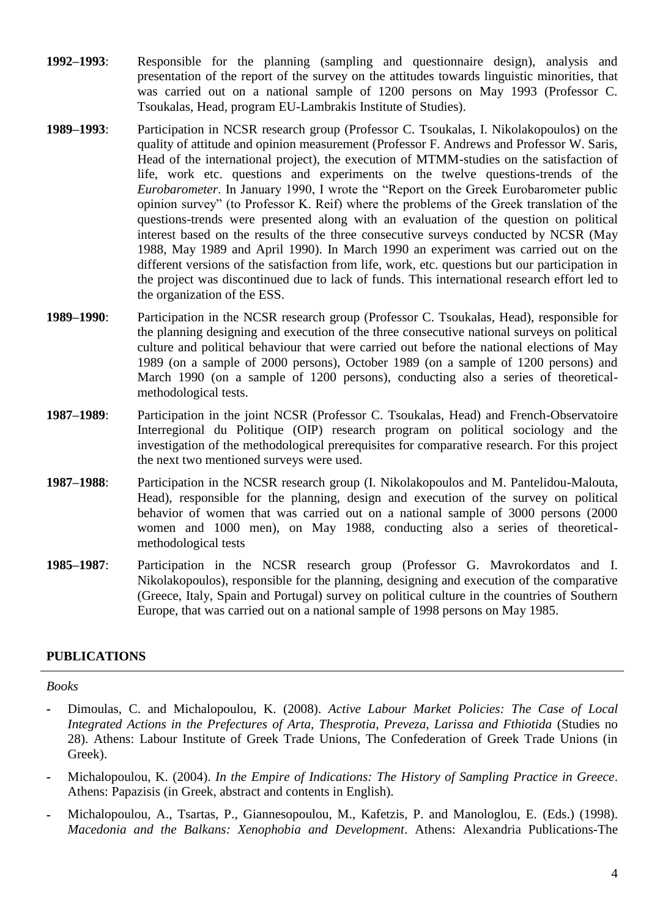- **1992–1993**: Responsible for the planning (sampling and questionnaire design), analysis and presentation of the report of the survey on the attitudes towards linguistic minorities, that was carried out on a national sample of 1200 persons on May 1993 (Professor C. Tsoukalas, Head, program EU-Lambrakis Institute of Studies).
- **1989–1993**: Participation in NCSR research group (Professor C. Tsoukalas, I. Nikolakopoulos) on the quality of attitude and opinion measurement (Professor F. Andrews and Professor W. Saris, Head of the international project), the execution of MTMM-studies on the satisfaction of life, work etc. questions and experiments on the twelve questions-trends of the *Eurobarometer*. In January 1990, I wrote the "Report on the Greek Eurobarometer public opinion survey" (to Professor K. Reif) where the problems of the Greek translation of the questions-trends were presented along with an evaluation of the question on political interest based on the results of the three consecutive surveys conducted by NCSR (May 1988, May 1989 and April 1990). In March 1990 an experiment was carried out on the different versions of the satisfaction from life, work, etc. questions but our participation in the project was discontinued due to lack of funds. This international research effort led to the organization of the ESS.
- **1989–1990**: Participation in the NCSR research group (Professor C. Tsoukalas, Head), responsible for the planning designing and execution of the three consecutive national surveys on political culture and political behaviour that were carried out before the national elections of May 1989 (on a sample of 2000 persons), October 1989 (on a sample of 1200 persons) and March 1990 (on a sample of 1200 persons), conducting also a series of theoreticalmethodological tests.
- **1987–1989**: Participation in the joint NCSR (Professor C. Tsoukalas, Head) and French-Observatoire Interregional du Politique (OIP) research program on political sociology and the investigation of the methodological prerequisites for comparative research. For this project the next two mentioned surveys were used.
- **1987–1988**: Participation in the NCSR research group (I. Nikolakopoulos and M. Pantelidou-Malouta, Head), responsible for the planning, design and execution of the survey on political behavior of women that was carried out on a national sample of 3000 persons (2000 women and 1000 men), on May 1988, conducting also a series of theoreticalmethodological tests
- **1985–1987**: Participation in the NCSR research group (Professor G. Mavrokordatos and I. Nikolakopoulos), responsible for the planning, designing and execution of the comparative (Greece, Italy, Spain and Portugal) survey on political culture in the countries of Southern Europe, that was carried out on a national sample of 1998 persons on May 1985.

# **PUBLICATIONS**

#### *Books*

- **-** Dimoulas, C. and Michalopoulou, K. (2008). *Active Labour Market Policies: The Case of Local Integrated Actions in the Prefectures of Arta, Thesprotia, Preveza, Larissa and Fthiotida* (Studies no 28). Athens: Labour Institute of Greek Trade Unions, The Confederation of Greek Trade Unions (in Greek).
- **-** Michalopoulou, K. (2004). *In the Empire of Indications: The History of Sampling Practice in Greece*. Athens: Papazisis (in Greek, abstract and contents in English).
- **-** Michalopoulou, A., Tsartas, P., Giannesopoulou, M., Kafetzis, P. and Manologlou, E. (Eds.) (1998). *Macedonia and the Balkans: Xenophobia and Development*. Athens: Alexandria Publications-The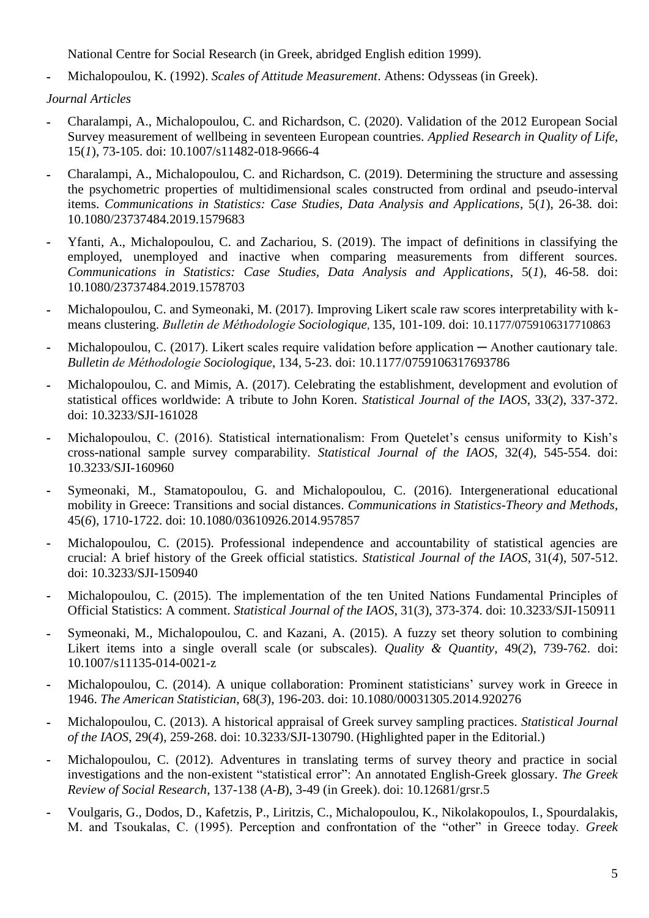National Centre for Social Research (in Greek, abridged English edition 1999).

**-** Michalopoulou, K. (1992). *Scales of Attitude Measurement*. Athens: Odysseas (in Greek).

*Journal Articles*

- **-** Charalampi, A., Michalopoulou, C. and Richardson, C. (2020). Validation of the 2012 European Social Survey measurement of wellbeing in seventeen European countries. *Applied Research in Quality of Life*, 15(*1*), 73-105. doi: 10.1007/s11482-018-9666-4
- **-** Charalampi, A., Michalopoulou, C. and Richardson, C. (2019). Determining the structure and assessing the psychometric properties of multidimensional scales constructed from ordinal and pseudo-interval items. *Communications in Statistics: Case Studies, Data Analysis and Applications*, 5(*1*), 26-38*.* doi: 10.1080/23737484.2019.1579683
- **-** Yfanti, A., Michalopoulou, C. and Zachariou, S. (2019). The impact of definitions in classifying the employed, unemployed and inactive when comparing measurements from different sources. *Communications in Statistics: Case Studies, Data Analysis and Applications*, 5(*1*), 46-58. doi: 10.1080/23737484.2019.1578703
- **-** Michalopoulou, C. and Symeonaki, M. (2017). Improving Likert scale raw scores interpretability with kmeans clustering. *Bulletin de Méthodologie Sociologique*, 135, 101-109. doi: 10.1177/0759106317710863
- **-** Michalopoulou, C. (2017). Likert scales require validation before application ─ Another cautionary tale. *Bulletin de Méthodologie Sociologique*, 134, 5-23. doi: 10.1177/0759106317693786
- **-** Michalopoulou, C. and Mimis, A. (2017). Celebrating the establishment, development and evolution of statistical offices worldwide: A tribute to John Koren. *Statistical Journal of the IAOS*, 33(*2*), 337-372. doi: 10.3233/SJI-161028
- **-** Michalopoulou, C. (2016). Statistical internationalism: From Quetelet"s census uniformity to Kish"s cross-national sample survey comparability. *Statistical Journal of the IAOS*, 32(*4*), 545-554. doi: 10.3233/SJI-160960
- **-** Symeonaki, M., Stamatopoulou, G. and Michalopoulou, C. (2016). Intergenerational educational mobility in Greece: Transitions and social distances. *Communications in Statistics-Theory and Methods*, 45(*6*), 1710-1722. doi: 10.1080/03610926.2014.957857
- **-** Michalopoulou, C. (2015). Professional independence and accountability of statistical agencies are crucial: A brief history of the Greek official statistics. *Statistical Journal of the IAOS*, 31(*4*), 507-512. doi: 10.3233/SJI-150940
- **-** Michalopoulou, C. (2015). The implementation of the ten United Nations Fundamental Principles of Official Statistics: A comment. *Statistical Journal of the IAOS*, 31(*3*), 373-374. doi: 10.3233/SJI-150911
- **-** Symeonaki, M., Michalopoulou, C. and Kazani, A. (2015). A fuzzy set theory solution to combining Likert items into a single overall scale (or subscales). *Quality & Quantity*, 49(*2*), 739-762. doi: 10.1007/s11135-014-0021-z
- **-** Michalopoulou, C. (2014). A unique collaboration: Prominent statisticians" survey work in Greece in 1946. *The American Statistician*, 68(*3*), 196-203. doi: 10.1080/00031305.2014.920276
- **-** Michalopoulou, C. (2013). A historical appraisal of Greek survey sampling practices. *Statistical Journal of the IAOS*, 29(*4*), 259-268. doi: 10.3233/SJI-130790. (Highlighted paper in the Editorial.)
- **-** Michalopoulou, C. (2012). Adventures in translating terms of survey theory and practice in social investigations and the non-existent "statistical error": An annotated English-Greek glossary. *The Greek Review of Social Research*, 137-138 (*A-B*), 3-49 (in Greek). doi: 10.12681/grsr.5
- **-** Voulgaris, G., Dodos, D., Kafetzis, P., Liritzis, C., Michalopoulou, K., Nikolakopoulos, I., Spourdalakis, M. and Tsoukalas, C. (1995). Perception and confrontation of the "other" in Greece today. *Greek*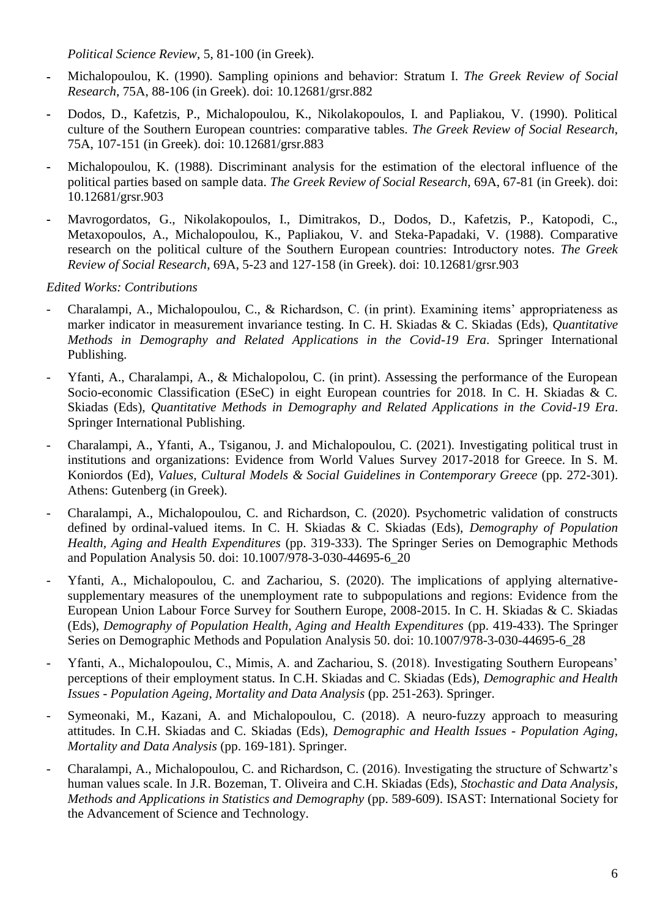*Political Science Review*, 5, 81-100 (in Greek).

- **-** Michalopoulou, K. (1990). Sampling opinions and behavior: Stratum I. *The Greek Review of Social Research*, 75A, 88-106 (in Greek). doi: 10.12681/grsr.882
- **-** Dodos, D., Kafetzis, P., Michalopoulou, K., Nikolakopoulos, I. and Papliakou, V. (1990). Political culture of the Southern European countries: comparative tables. *The Greek Review of Social Research*, 75A, 107-151 (in Greek). doi: 10.12681/grsr.883
- **-** Michalopoulou, K. (1988). Discriminant analysis for the estimation of the electoral influence of the political parties based on sample data. *The Greek Review of Social Research*, 69A, 67-81 (in Greek). doi: 10.12681/grsr.903
- **-** Mavrogordatos, G., Nikolakopoulos, I., Dimitrakos, D., Dodos, D., Kafetzis, P., Katopodi, C., Metaxopoulos, A., Michalopoulou, K., Papliakou, V. and Steka-Papadaki, V. (1988). Comparative research on the political culture of the Southern European countries: Introductory notes. *The Greek Review of Social Research*, 69A, 5-23 and 127-158 (in Greek). doi: 10.12681/grsr.903

*Edited Works: Contributions*

- Charalampi, A., Michalopoulou, C., & Richardson, C. (in print). Examining items" appropriateness as marker indicator in measurement invariance testing. In C. H. Skiadas & C. Skiadas (Eds), *Quantitative Methods in Demography and Related Applications in the Covid-19 Era*. Springer International Publishing.
- Yfanti, A., Charalampi, A., & Michalopolou, C. (in print). Assessing the performance of the European Socio-economic Classification (ESeC) in eight European countries for 2018. In C. H. Skiadas & C. Skiadas (Eds), *Quantitative Methods in Demography and Related Applications in the Covid-19 Era*. Springer International Publishing.
- Charalampi, A., Yfanti, A., Tsiganou, J. and Michalopoulou, C. (2021). Investigating political trust in institutions and organizations: Evidence from World Values Survey 2017-2018 for Greece. In S. M. Koniordos (Ed), *Values, Cultural Models & Social Guidelines in Contemporary Greece* (pp. 272-301). Athens: Gutenberg (in Greek).
- Charalampi, A., Michalopoulou, C. and Richardson, C. (2020). Psychometric validation of constructs defined by ordinal-valued items. In C. H. Skiadas & C. Skiadas (Eds), *Demography of Population Health, Aging and Health Expenditures* (pp. 319-333). The Springer Series on Demographic Methods and Population Analysis 50. doi: 10.1007/978-3-030-44695-6\_20
- Yfanti, A., Michalopoulou, C. and Zachariou, S. (2020). The implications of applying alternativesupplementary measures of the unemployment rate to subpopulations and regions: Evidence from the European Union Labour Force Survey for Southern Europe, 2008-2015. In C. H. Skiadas & C. Skiadas (Eds), *Demography of Population Health, Aging and Health Expenditures* (pp. 419-433). The Springer Series on Demographic Methods and Population Analysis 50. doi: 10.1007/978-3-030-44695-6\_28
- Yfanti, A., Michalopoulou, C., Mimis, A. and Zachariou, S. (2018). Investigating Southern Europeans' perceptions of their employment status. In C.H. Skiadas and C. Skiadas (Eds), *Demographic and Health Issues - Population Ageing, Mortality and Data Analysis* (pp. 251-263). Springer.
- Symeonaki, M., Kazani, A. and Michalopoulou, C. (2018). A neuro-fuzzy approach to measuring attitudes. In C.H. Skiadas and C. Skiadas (Eds), *Demographic and Health Issues - Population Aging, Mortality and Data Analysis* (pp. 169-181). Springer.
- Charalampi, A., Michalopoulou, C. and Richardson, C. (2016). Investigating the structure of Schwartz"s human values scale. In J.R. Bozeman, T. Oliveira and C.H. Skiadas (Eds), *Stochastic and Data Analysis, Methods and Applications in Statistics and Demography* (pp. 589-609). ISAST: International Society for the Advancement of Science and Technology.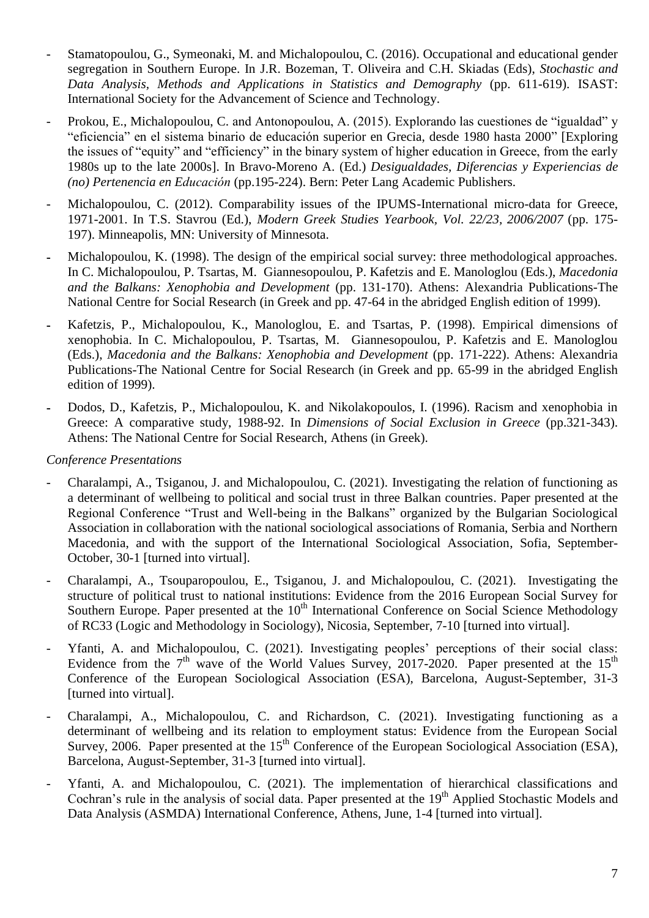- Stamatopoulou, G., Symeonaki, M. and Michalopoulou, C. (2016). Occupational and educational gender segregation in Southern Europe. In J.R. Bozeman, T. Oliveira and C.H. Skiadas (Eds), *Stochastic and Data Analysis, Methods and Applications in Statistics and Demography* (pp. 611-619). ISAST: International Society for the Advancement of Science and Technology.
- Prokou, E., Michalopoulou, C. and Antonopoulou, A. (2015). Explorando las cuestiones de "igualdad" y "eficiencia" en el sistema binario de educación superior en Grecia, desde 1980 hasta 2000" [Exploring the issues of "equity" and "efficiency" in the binary system of higher education in Greece, from the early 1980s up to the late 2000s]. In Bravo-Moreno A. (Ed.) *Desigualdades, Diferencias y Experiencias de (no) Pertenencia en Educación* (pp.195-224). Bern: Peter Lang Academic Publishers.
- Michalopoulou, C. (2012). Comparability issues of the IPUMS-International micro-data for Greece, 1971-2001. In T.S. Stavrou (Ed.), *Modern Greek Studies Yearbook, Vol. 22/23, 2006/2007* (pp. 175- 197). Minneapolis, MN: University of Minnesota.
- **-** Michalopoulou, K. (1998). The design of the empirical social survey: three methodological approaches. In C. Michalopoulou, P. Tsartas, M. Giannesopoulou, P. Kafetzis and E. Manologlou (Eds.), *Macedonia and the Balkans: Xenophobia and Development* (pp. 131-170). Athens: Alexandria Publications-The National Centre for Social Research (in Greek and pp. 47-64 in the abridged English edition of 1999).
- **-** Kafetzis, P., Michalopoulou, K., Manologlou, E. and Tsartas, P. (1998). Empirical dimensions of xenophobia. In C. Michalopoulou, P. Tsartas, M. Giannesopoulou, P. Kafetzis and E. Manologlou (Eds.), *Macedonia and the Balkans: Xenophobia and Development* (pp. 171-222). Athens: Alexandria Publications-The National Centre for Social Research (in Greek and pp. 65-99 in the abridged English edition of 1999).
- **-** Dodos, D., Kafetzis, P., Michalopoulou, K. and Nikolakopoulos, I. (1996). Racism and xenophobia in Greece: A comparative study, 1988-92. In *Dimensions of Social Exclusion in Greece* (pp.321-343). Athens: The National Centre for Social Research, Athens (in Greek).

*Conference Presentations*

- Charalampi, A., Tsiganou, J. and Michalopoulou, C. (2021). Investigating the relation of functioning as a determinant of wellbeing to political and social trust in three Balkan countries. Paper presented at the Regional Conference "Trust and Well-being in the Balkans" organized by the Bulgarian Sociological Association in collaboration with the national sociological associations of Romania, Serbia and Northern Macedonia, and with the support of the International Sociological Association, Sofia, September-October, 30-1 [turned into virtual].
- Charalampi, A., Tsouparopoulou, E., Tsiganou, J. and Michalopoulou, C. (2021). Investigating the structure of political trust to national institutions: Evidence from the 2016 European Social Survey for Southern Europe. Paper presented at the  $10<sup>th</sup>$  International Conference on Social Science Methodology of RC33 (Logic and Methodology in Sociology), Nicosia, September, 7-10 [turned into virtual].
- Yfanti, A. and Michalopoulou, C. (2021). Investigating peoples' perceptions of their social class: Evidence from the  $7<sup>th</sup>$  wave of the World Values Survey, 2017-2020. Paper presented at the 15<sup>th</sup> Conference of the European Sociological Association (ESA), Barcelona, August-September, 31-3 [turned into virtual].
- Charalampi, A., Michalopoulou, C. and Richardson, C. (2021). Investigating functioning as a determinant of wellbeing and its relation to employment status: Evidence from the European Social Survey, 2006. Paper presented at the 15<sup>th</sup> Conference of the European Sociological Association (ESA), Barcelona, August-September, 31-3 [turned into virtual].
- Yfanti, A. and Michalopoulou, C. (2021). The implementation of hierarchical classifications and Cochran's rule in the analysis of social data. Paper presented at the 19<sup>th</sup> Applied Stochastic Models and Data Analysis (ASMDA) International Conference, Athens, June, 1-4 [turned into virtual].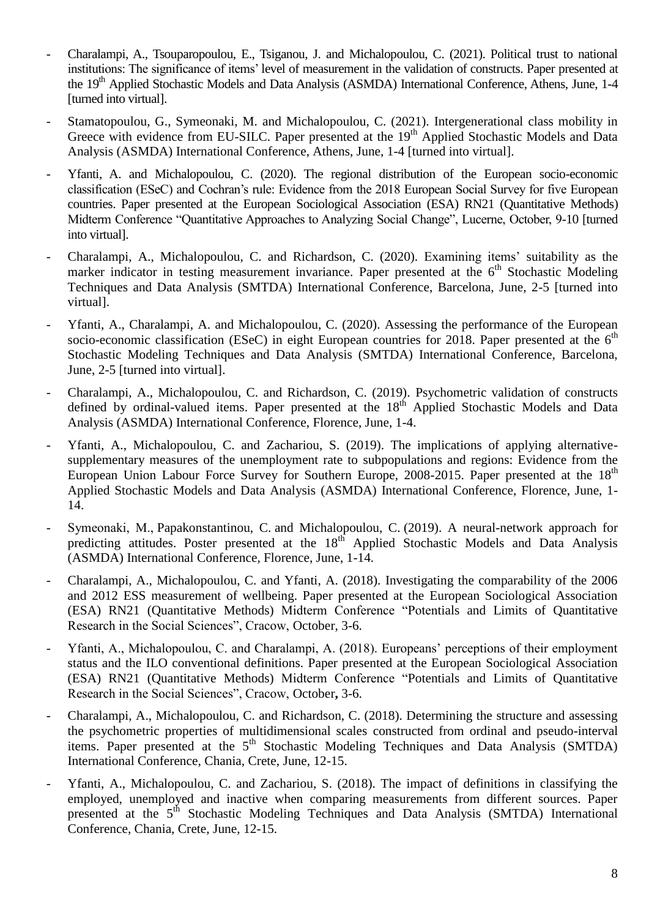- Charalampi, A., Tsouparopoulou, E., Tsiganou, J. and Michalopoulou, C. (2021). Political trust to national institutions: The significance of items' level of measurement in the validation of constructs. Paper presented at the 19<sup>th</sup> Applied Stochastic Models and Data Analysis (ASMDA) International Conference, Athens, June, 1-4 [turned into virtual].
- Stamatopoulou, G., Symeonaki, M. and Michalopoulou, C. (2021). Intergenerational class mobility in Greece with evidence from EU-SILC. Paper presented at the 19<sup>th</sup> Applied Stochastic Models and Data Analysis (ASMDA) International Conference, Athens, June, 1-4 [turned into virtual].
- Yfanti, A. and Michalopoulou, C. (2020). The regional distribution of the European socio-economic classification (ESeC) and Cochran"s rule: Evidence from the 2018 European Social Survey for five European countries. Paper presented at the European Sociological Association (ESA) RN21 (Quantitative Methods) Midterm Conference "Quantitative Approaches to Analyzing Social Change", Lucerne, October, 9-10 [turned into virtual].
- Charalampi, A., Michalopoulou, C. and Richardson, C. (2020). Examining items" suitability as the marker indicator in testing measurement invariance. Paper presented at the  $6<sup>th</sup>$  Stochastic Modeling Techniques and Data Analysis (SMTDA) International Conference, Barcelona, June, 2-5 [turned into virtual].
- Yfanti, A., Charalampi, A. and Michalopoulou, C. (2020). Assessing the performance of the European socio-economic classification (ESeC) in eight European countries for 2018. Paper presented at the  $6<sup>th</sup>$ Stochastic Modeling Techniques and Data Analysis (SMTDA) International Conference, Barcelona, June, 2-5 [turned into virtual].
- Charalampi, A., Michalopoulou, C. and Richardson, C. (2019). Psychometric validation of constructs defined by ordinal-valued items. Paper presented at the 18<sup>th</sup> Applied Stochastic Models and Data Analysis (ASMDA) International Conference, Florence, June, 1-4.
- Yfanti, A., Michalopoulou, C. and Zachariou, S. (2019). The implications of applying alternativesupplementary measures of the unemployment rate to subpopulations and regions: Evidence from the European Union Labour Force Survey for Southern Europe, 2008-2015. Paper presented at the 18<sup>th</sup> Applied Stochastic Models and Data Analysis (ASMDA) International Conference, Florence, June, 1- 14.
- Symeonaki, Μ., Papakonstantinou, C. and Michalopoulou, C. (2019). A neural-network approach for predicting attitudes. Poster presented at the  $18<sup>th</sup>$  Applied Stochastic Models and Data Analysis (ASMDA) International Conference, Florence, June, 1-14.
- Charalampi, A., Michalopoulou, C. and Yfanti, A. (2018). Investigating the comparability of the 2006 and 2012 ESS measurement of wellbeing. Paper presented at the European Sociological Association (ESA) RN21 (Quantitative Methods) Midterm Conference "Potentials and Limits of Quantitative Research in the Social Sciences", Cracow, October, 3-6.
- Yfanti, A., Michalopoulou, C. and Charalampi, A. (2018). Europeans' perceptions of their employment status and the ILO conventional definitions. Paper presented at the European Sociological Association (ESA) RN21 (Quantitative Methods) Midterm Conference "Potentials and Limits of Quantitative Research in the Social Sciences", Cracow, October**,** 3-6.
- Charalampi, A., Michalopoulou, C. and Richardson, C. (2018). Determining the structure and assessing the psychometric properties of multidimensional scales constructed from ordinal and pseudo-interval items. Paper presented at the 5<sup>th</sup> Stochastic Modeling Techniques and Data Analysis (SMTDA) International Conference, Chania, Crete, June, 12-15.
- Yfanti, A., Michalopoulou, C. and Zachariou, S. (2018). The impact of definitions in classifying the employed, unemployed and inactive when comparing measurements from different sources. Paper presented at the 5<sup>th</sup> Stochastic Modeling Techniques and Data Analysis (SMTDA) International Conference, Chania, Crete, June, 12-15.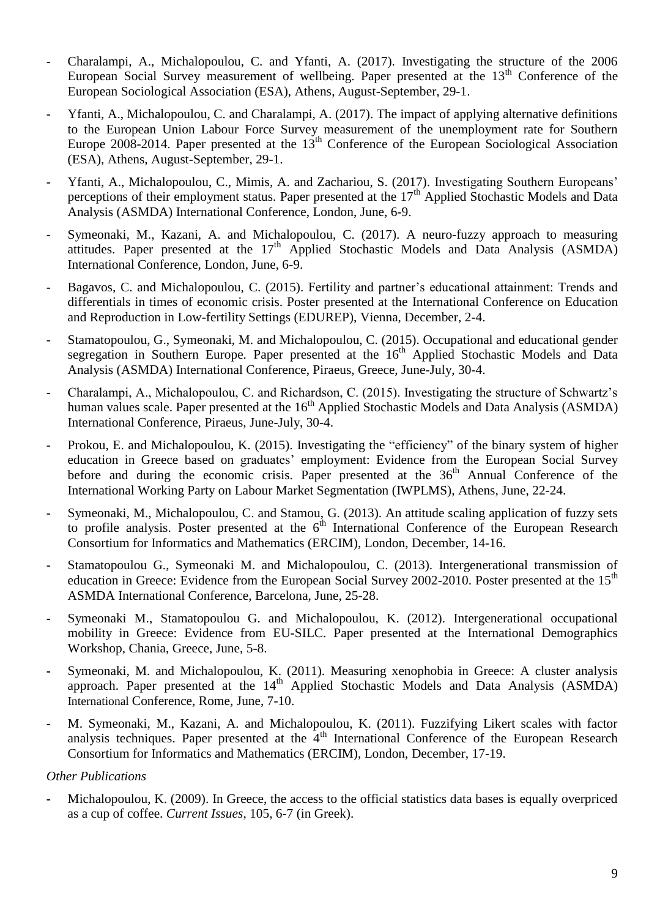- Charalampi, A., Michalopoulou, C. and Yfanti, A. (2017). Investigating the structure of the 2006 European Social Survey measurement of wellbeing. Paper presented at the  $13<sup>th</sup>$  Conference of the European Sociological Association (ESA), Athens, August-September, 29-1.
- Yfanti, A., Michalopoulou, C. and Charalampi, A. (2017). The impact of applying alternative definitions to the European Union Labour Force Survey measurement of the unemployment rate for Southern Europe 2008-2014. Paper presented at the 13<sup>th</sup> Conference of the European Sociological Association (ESA), Athens, August-September, 29-1.
- Yfanti, A., Michalopoulou, C., Mimis, A. and Zachariou, S. (2017). Investigating Southern Europeans' perceptions of their employment status. Paper presented at the  $17<sup>th</sup>$  Applied Stochastic Models and Data Analysis (ASMDA) International Conference, London, June, 6-9.
- Symeonaki, M., Kazani, A. and Michalopoulou, C. (2017). A neuro-fuzzy approach to measuring attitudes. Paper presented at the  $17<sup>th</sup>$  Applied Stochastic Models and Data Analysis (ASMDA) International Conference, London, June, 6-9.
- Bagavos, C. and Michalopoulou, C. (2015). Fertility and partner's educational attainment: Trends and differentials in times of economic crisis. Poster presented at the International Conference on Education and Reproduction in Low-fertility Settings (EDUREP), Vienna, December, 2-4.
- Stamatopoulou, G., Symeonaki, M. and Michalopoulou, C. (2015). Occupational and educational gender segregation in Southern Europe. Paper presented at the 16<sup>th</sup> Applied Stochastic Models and Data Analysis (ASMDA) International Conference, Piraeus, Greece, June-July, 30-4.
- Charalampi, A., Michalopoulou, C. and Richardson, C. (2015). Investigating the structure of Schwartz"s human values scale. Paper presented at the 16<sup>th</sup> Applied Stochastic Models and Data Analysis (ASMDA) International Conference, Piraeus, June-July, 30-4.
- Prokou, E. and Michalopoulou, K. (2015). Investigating the "efficiency" of the binary system of higher education in Greece based on graduates' employment: Evidence from the European Social Survey before and during the economic crisis. Paper presented at the  $36<sup>th</sup>$  Annual Conference of the International Working Party on Labour Market Segmentation (IWPLMS), Athens, June, 22-24.
- Symeonaki, M., Michalopoulou, C. and Stamou, G. (2013). An attitude scaling application of fuzzy sets to profile analysis. Poster presented at the  $6<sup>th</sup>$  International Conference of the European Research Consortium for Informatics and Mathematics (ERCIM), London, December, 14-16.
- Stamatopoulou G., Symeonaki M. and Michalopoulou, C. (2013). Intergenerational transmission of education in Greece: Evidence from the European Social Survey 2002-2010. Poster presented at the 15<sup>th</sup> ASMDA International Conference, Barcelona, June, 25-28.
- **-** Symeonaki M., Stamatopoulou G. and Michalopoulou, K. (2012). Intergenerational occupational mobility in Greece: Evidence from EU-SILC. Paper presented at the International Demographics Workshop*,* Chania, Greece, June, 5-8.
- **-** Symeonaki, M. and Michalopoulou, K. (2011). Measuring xenophobia in Greece: A cluster analysis approach. Paper presented at the  $14<sup>th</sup>$  Applied Stochastic Models and Data Analysis (ASMDA) International Conference, Rome, June, 7-10.
- **-** M. Symeonaki, M., Kazani, A. and Michalopoulou, K. (2011). Fuzzifying Likert scales with factor analysis techniques. Paper presented at the  $4<sup>th</sup>$  International Conference of the European Research Consortium for Informatics and Mathematics (ERCIM), London, December, 17-19.

## *Other Publications*

**-** Michalopoulou, K. (2009). In Greece, the access to the official statistics data bases is equally overpriced as a cup of coffee. *Current Issues*, 105, 6-7 (in Greek).